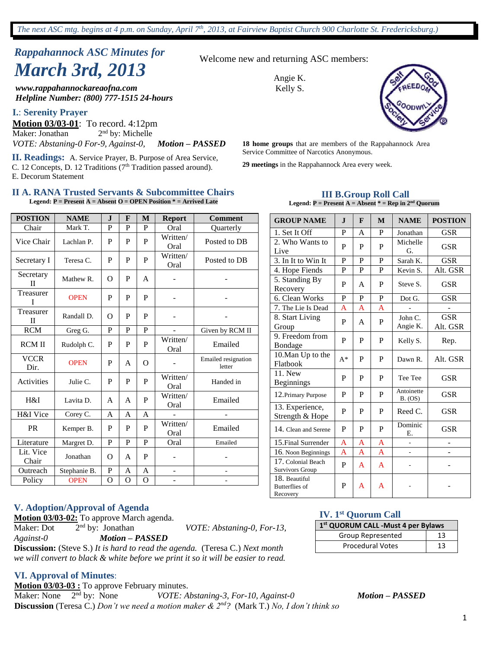# *Rappahannock ASC Minutes for March 3rd, 2013*

*www.rappahannockareaofna.com Helpline Number: (800) 777-1515 24-hours*

#### **I.**: **Serenity Prayer**

**Motion 03/03-01**: To record. 4:12pm Maker: Jonathan  $2<sup>nd</sup>$  by: Michelle

**II. Readings:** A. Service Prayer, B. Purpose of Area Service, C. 12 Concepts, D. 12 Traditions (7<sup>th</sup> Tradition passed around). E. Decorum Statement

#### **II A. RANA Trusted Servants & Subcommittee Chairs Legend: P = Present A = Absent O = OPEN Position \* = Arrived Late**

| <b>POSTION</b>            | <b>NAME</b>  | $\mathbf I$ | F              | M           | <b>Report</b>    | <b>Comment</b>                |
|---------------------------|--------------|-------------|----------------|-------------|------------------|-------------------------------|
| Chair                     | Mark T.      | P           | P              | P           | Oral             | Quarterly                     |
| Vice Chair                | Lachlan P.   | P           | P              | P           | Written/<br>Oral | Posted to DB                  |
| Secretary I               | Teresa C.    | P           | P              | P           | Written/<br>Oral | Posted to DB                  |
| Secretary<br>$\mathbf{I}$ | Mathew R.    | $\Omega$    | P              | A           |                  | $\overline{\phantom{0}}$      |
| Treasurer<br>T            | <b>OPEN</b>  | P           | P              | P           |                  |                               |
| Treasurer<br>$\mathbf{H}$ | Randall D.   | $\Omega$    | P              | P           |                  |                               |
| <b>RCM</b>                | Greg G.      | P           | $\mathbf{P}$   | P           |                  | Given by RCM II               |
| <b>RCM II</b>             | Rudolph C.   | P           | P              | P           | Written/<br>Oral | Emailed                       |
| <b>VCCR</b><br>Dir.       | <b>OPEN</b>  | P           | A              | $\Omega$    |                  | Emailed resignation<br>letter |
| Activities                | Julie C.     | P           | P              | P           | Written/<br>Oral | Handed in                     |
| H&I                       | Lavita D.    | A           | A              | P           | Written/<br>Oral | Emailed                       |
| H&I Vice                  | Corey C.     | A           | A              | A           |                  |                               |
| PR                        | Kemper B.    | P           | P              | P           | Written/<br>Oral | Emailed                       |
| Literature                | Margret D.   | P           | $\mathbf{P}$   | P           | Oral             | Emailed                       |
| Lit. Vice<br>Chair        | Jonathan     | $\Omega$    | A              | P           |                  |                               |
| Outreach                  | Stephanie B. | $\mathbf P$ | A              | A           |                  |                               |
| Policy                    | <b>OPEN</b>  | O           | $\overline{O}$ | $\mathbf O$ |                  | -                             |

#### **V. Adoption/Approval of Agenda**

**Motion 03/03-02:** To approve March agenda.

Maker: Dot 2<sup>nd</sup> by: Jonathan

*Against-0 Motion – PASSED*

*VOTE: Abstaning-0, For-13,* 

Survivors Group 18. Beautiful Butterflies of Recovery

**Discussion:** (Steve S.) *It is hard to read the agenda.* (Teresa C.) *Next month we will convert to black & white before we print it so it will be easier to read.*

#### **VI. Approval of Minutes**:

**Motion 03/03-03 :** To approve February minutes.

Maker: None 2<sup>nd</sup> by: None nd by: None *VOTE: Abstaning-3, For-10, Against-0 Motion – PASSED* **Discussion** (Teresa C.) *Don't we need a motion maker & 2nd?* (Mark T.) *No, I don't think so*

Welcome new and returning ASC members:

Angie K. Kelly S.



*VOTE: Abstaning-0 For-9, Against-0, Motion – PASSED* **18 home groups** that are members of the Rappahannock Area Service Committee of Narcotics Anonymous.

**29 meetings** in the Rappahannock Area every week.

# **III B.Group Roll Call**

| Legend: $P =$ Present A = Absent $* =$ Rep in $2nd$ Quorum |              |              |              |                       |                        |  |  |  |  |  |  |
|------------------------------------------------------------|--------------|--------------|--------------|-----------------------|------------------------|--|--|--|--|--|--|
| <b>GROUP NAME</b>                                          | $\mathbf I$  | F            | M            | <b>NAME</b>           | <b>POSTION</b>         |  |  |  |  |  |  |
| 1. Set It Off                                              | P            | A            | P            | Jonathan              | <b>GSR</b>             |  |  |  |  |  |  |
| 2. Who Wants to<br>Live                                    | P            | P            | P            | Michelle<br>G.        | <b>GSR</b>             |  |  |  |  |  |  |
| 3. In It to Win It                                         | P            | P            | P            | Sarah K.              | <b>GSR</b>             |  |  |  |  |  |  |
| 4. Hope Fiends                                             | P            | $\mathbf{P}$ | P            | Kevin S.              | Alt. GSR               |  |  |  |  |  |  |
| 5. Standing By<br>Recovery                                 | P            | A            | P            | Steve S.              | <b>GSR</b>             |  |  |  |  |  |  |
| 6. Clean Works                                             | P            | P            | P            | Dot G.                | <b>GSR</b>             |  |  |  |  |  |  |
| 7. The Lie Is Dead                                         | A            | A            | A            |                       |                        |  |  |  |  |  |  |
| 8. Start Living<br>Group                                   | P            | A            | P            | John C.<br>Angie K.   | <b>GSR</b><br>Alt. GSR |  |  |  |  |  |  |
| 9. Freedom from<br>Bondage                                 | $\mathbf{P}$ | P            | P            | Kelly S.              | Rep.                   |  |  |  |  |  |  |
| 10. Man Up to the<br>Flatbook                              | $A^*$        | P            | P            | Dawn R.               | Alt. GSR               |  |  |  |  |  |  |
| $\overline{1}1.$ New<br><b>Beginnings</b>                  | P            | P            | P            | Tee Tee               | <b>GSR</b>             |  |  |  |  |  |  |
| 12. Primary Purpose                                        | P            | P            | P            | Antoinette<br>B. (OS) | <b>GSR</b>             |  |  |  |  |  |  |
| 13. Experience,<br>Strength & Hope                         | P            | P            | P            | Reed C.               | <b>GSR</b>             |  |  |  |  |  |  |
| 14. Clean and Serene                                       | P            | P            | $\mathbf{P}$ | Dominic<br>Е.         | <b>GSR</b>             |  |  |  |  |  |  |
| 15. Final Surrender                                        | A            | A            | A            |                       |                        |  |  |  |  |  |  |
| 16. Noon Beginnings                                        | A            | A            | A            | $\overline{a}$        |                        |  |  |  |  |  |  |
| 17. Colonial Beach                                         | D            | $\Lambda$    | $\Lambda$    |                       |                        |  |  |  |  |  |  |

#### **IV. 1st Quorum Call**

| 1 <sup>st</sup> QUORUM CALL -Must 4 per Bylaws |    |  |  |  |  |  |
|------------------------------------------------|----|--|--|--|--|--|
| Group Represented                              | 13 |  |  |  |  |  |
| <b>Procedural Votes</b>                        | 13 |  |  |  |  |  |

 $P$   $A$   $A$  -  $\vert$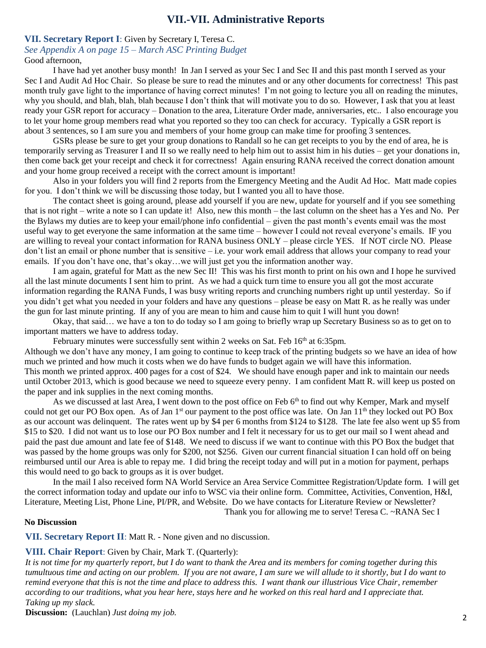### *.* **VII.-VII. Administrative Reports**

#### **VII. Secretary Report I**: Given by Secretary I, Teresa C. *See Appendix A on page 15 – March ASC Printing Budget*

Good afternoon,

I have had yet another busy month! In Jan I served as your Sec I and Sec II and this past month I served as your Sec I and Audit Ad Hoc Chair. So please be sure to read the minutes and or any other documents for correctness! This past month truly gave light to the importance of having correct minutes! I'm not going to lecture you all on reading the minutes, why you should, and blah, blah, blah because I don't think that will motivate you to do so. However, I ask that you at least ready your GSR report for accuracy – Donation to the area, Literature Order made, anniversaries, etc.. I also encourage you to let your home group members read what you reported so they too can check for accuracy. Typically a GSR report is about 3 sentences, so I am sure you and members of your home group can make time for proofing 3 sentences.

GSRs please be sure to get your group donations to Randall so he can get receipts to you by the end of area, he is temporarily serving as Treasurer I and II so we really need to help him out to assist him in his duties – get your donations in, then come back get your receipt and check it for correctness! Again ensuring RANA received the correct donation amount and your home group received a receipt with the correct amount is important!

Also in your folders you will find 2 reports from the Emergency Meeting and the Audit Ad Hoc. Matt made copies for you. I don't think we will be discussing those today, but I wanted you all to have those.

The contact sheet is going around, please add yourself if you are new, update for yourself and if you see something that is not right – write a note so I can update it! Also, new this month – the last column on the sheet has a Yes and No. Per the Bylaws my duties are to keep your email/phone info confidential – given the past month's events email was the most useful way to get everyone the same information at the same time – however I could not reveal everyone's emails. IF you are willing to reveal your contact information for RANA business ONLY – please circle YES. If NOT circle NO. Please don't list an email or phone number that is sensitive – i.e. your work email address that allows your company to read your emails. If you don't have one, that's okay…we will just get you the information another way.

I am again, grateful for Matt as the new Sec II! This was his first month to print on his own and I hope he survived all the last minute documents I sent him to print. As we had a quick turn time to ensure you all got the most accurate information regarding the RANA Funds, I was busy writing reports and crunching numbers right up until yesterday. So if you didn't get what you needed in your folders and have any questions – please be easy on Matt R. as he really was under the gun for last minute printing. If any of you are mean to him and cause him to quit I will hunt you down!

Okay, that said… we have a ton to do today so I am going to briefly wrap up Secretary Business so as to get on to important matters we have to address today.

February minutes were successfully sent within 2 weeks on Sat. Feb 16<sup>th</sup> at 6:35pm.

Although we don't have any money, I am going to continue to keep track of the printing budgets so we have an idea of how much we printed and how much it costs when we do have funds to budget again we will have this information. This month we printed approx. 400 pages for a cost of \$24. We should have enough paper and ink to maintain our needs until October 2013, which is good because we need to squeeze every penny. I am confident Matt R. will keep us posted on the paper and ink supplies in the next coming months.

As we discussed at last Area, I went down to the post office on Feb 6<sup>th</sup> to find out why Kemper, Mark and myself could not get our PO Box open. As of Jan  $1<sup>st</sup>$  our payment to the post office was late. On Jan  $11<sup>th</sup>$  they locked out PO Box as our account was delinquent. The rates went up by \$4 per 6 months from \$124 to \$128. The late fee also went up \$5 from \$15 to \$20. I did not want us to lose our PO Box number and I felt it necessary for us to get our mail so I went ahead and paid the past due amount and late fee of \$148. We need to discuss if we want to continue with this PO Box the budget that was passed by the home groups was only for \$200, not \$256. Given our current financial situation I can hold off on being reimbursed until our Area is able to repay me. I did bring the receipt today and will put in a motion for payment, perhaps this would need to go back to groups as it is over budget.

In the mail I also received form NA World Service an Area Service Committee Registration/Update form. I will get the correct information today and update our info to WSC via their online form. Committee, Activities, Convention, H&I, Literature, Meeting List, Phone Line, PI/PR, and Website. Do we have contacts for Literature Review or Newsletter? Thank you for allowing me to serve! Teresa C. ~RANA Sec I

#### **No Discussion**

**VII. Secretary Report II**: Matt R. - None given and no discussion.

#### **VIII. Chair Report**: Given by Chair, Mark T. (Quarterly):

*It is not time for my quarterly report, but I do want to thank the Area and its members for coming together during this tumultuous time and acting on our problem. If you are not aware, I am sure we will allude to it shortly, but I do want to remind everyone that this is not the time and place to address this. I want thank our illustrious Vice Chair, remember according to our traditions, what you hear here, stays here and he worked on this real hard and I appreciate that. Taking up my slack.*

**Discussion:** (Lauchlan) *Just doing my job.*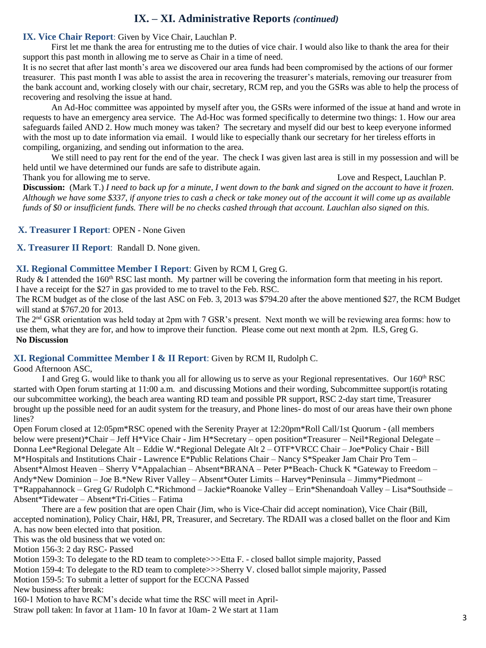# **IX. – XI. Administrative Reports** *(continued)*

**IX. Vice Chair Report**: Given by Vice Chair, Lauchlan P.

First let me thank the area for entrusting me to the duties of vice chair. I would also like to thank the area for their support this past month in allowing me to serve as Chair in a time of need.

It is no secret that after last month's area we discovered our area funds had been compromised by the actions of our former treasurer. This past month I was able to assist the area in recovering the treasurer's materials, removing our treasurer from the bank account and, working closely with our chair, secretary, RCM rep, and you the GSRs was able to help the process of recovering and resolving the issue at hand.

An Ad-Hoc committee was appointed by myself after you, the GSRs were informed of the issue at hand and wrote in requests to have an emergency area service. The Ad-Hoc was formed specifically to determine two things: 1. How our area safeguards failed AND 2. How much money was taken? The secretary and myself did our best to keep everyone informed with the most up to date information via email. I would like to especially thank our secretary for her tireless efforts in compiling, organizing, and sending out information to the area.

We still need to pay rent for the end of the year. The check I was given last area is still in my possession and will be held until we have determined our funds are safe to distribute again.

Thank you for allowing me to serve. Thank you for allowing me to serve. Love and Respect, Lauchlan P. **Discussion:** (Mark T.) *I need to back up for a minute, I went down to the bank and signed on the account to have it frozen. Although we have some \$337, if anyone tries to cash a check or take money out of the account it will come up as available funds of \$0 or insufficient funds. There will be no checks cashed through that account. Lauchlan also signed on this.* 

**X. Treasurer I Report**: OPEN - None Given

**X. Treasurer II Report**: Randall D. None given.

#### **XI. Regional Committee Member I Report**: Given by RCM I, Greg G.

Rudy  $\&$  I attended the 160<sup>th</sup> RSC last month. My partner will be covering the information form that meeting in his report. I have a receipt for the \$27 in gas provided to me to travel to the Feb. RSC.

The RCM budget as of the close of the last ASC on Feb. 3, 2013 was \$794.20 after the above mentioned \$27, the RCM Budget will stand at \$767.20 for 2013.

The 2nd GSR orientation was held today at 2pm with 7 GSR's present. Next month we will be reviewing area forms: how to use them, what they are for, and how to improve their function. Please come out next month at 2pm. ILS, Greg G. **No Discussion**

#### **XI. Regional Committee Member I & II Report**: Given by RCM II, Rudolph C.

Good Afternoon ASC,

I and Greg G. would like to thank you all for allowing us to serve as your Regional representatives. Our 160<sup>th</sup> RSC started with Open forum starting at 11:00 a.m. and discussing Motions and their wording, Subcommittee support(is rotating our subcommittee working), the beach area wanting RD team and possible PR support, RSC 2-day start time, Treasurer brought up the possible need for an audit system for the treasury, and Phone lines- do most of our areas have their own phone lines?

Open Forum closed at 12:05pm\*RSC opened with the Serenity Prayer at 12:20pm\*Roll Call/1st Quorum - (all members below were present)\*Chair – Jeff H\*Vice Chair - Jim H\*Secretary – open position\*Treasurer – Neil\*Regional Delegate – Donna Lee\*Regional Delegate Alt – Eddie W.\*Regional Delegate Alt 2 – OTF\*VRCC Chair – Joe\*Policy Chair - Bill M\*Hospitals and Institutions Chair - Lawrence E\*Public Relations Chair – Nancy S\*Speaker Jam Chair Pro Tem – Absent\*Almost Heaven – Sherry V\*Appalachian – Absent\*BRANA – Peter P\*Beach- Chuck K \*Gateway to Freedom – Andy\*New Dominion – Joe B.\*New River Valley – Absent\*Outer Limits – Harvey\*Peninsula – Jimmy\*Piedmont – T\*Rappahannock – Greg G/ Rudolph C.\*Richmond – Jackie\*Roanoke Valley – Erin\*Shenandoah Valley – Lisa\*Southside – Absent\*Tidewater – Absent\*Tri-Cities – Fatima

There are a few position that are open Chair (Jim, who is Vice-Chair did accept nomination), Vice Chair (Bill, accepted nomination), Policy Chair, H&I, PR, Treasurer, and Secretary. The RDAII was a closed ballet on the floor and Kim A. has now been elected into that position.

This was the old business that we voted on:

Motion 156-3: 2 day RSC- Passed

Motion 159-3: To delegate to the RD team to complete>>>Etta F. - closed ballot simple majority, Passed

Motion 159-4: To delegate to the RD team to complete >>>Sherry V. closed ballot simple majority, Passed

Motion 159-5: To submit a letter of support for the ECCNA Passed

New business after break:

160-1 Motion to have RCM's decide what time the RSC will meet in April-

Straw poll taken: In favor at 11am- 10 In favor at 10am- 2 We start at 11am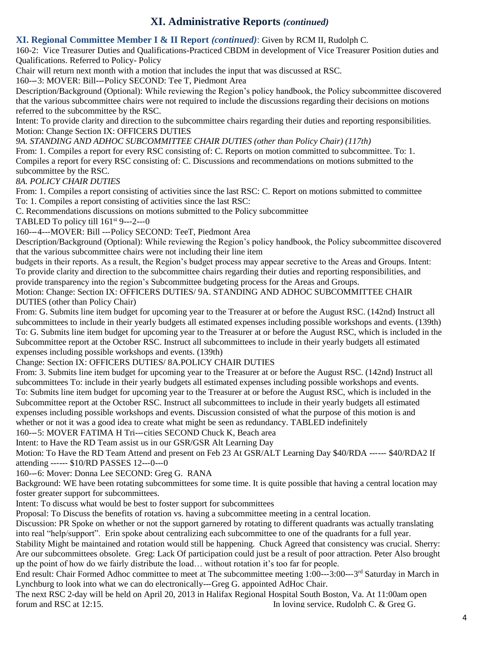# **XI. Administrative Reports** *(continued)*

### **XI. Regional Committee Member I & II Report** *(continued)*: Given by RCM II, Rudolph C.

160-2: Vice Treasurer Duties and Qualifications-Practiced CBDM in development of Vice Treasurer Position duties and Qualifications. Referred to Policy- Policy

Chair will return next month with a motion that includes the input that was discussed at RSC.

160--‐3: MOVER: Bill--‐Policy SECOND: Tee T, Piedmont Area

Description/Background (Optional): While reviewing the Region's policy handbook, the Policy subcommittee discovered that the various subcommittee chairs were not required to include the discussions regarding their decisions on motions referred to the subcommittee by the RSC.

Intent: To provide clarity and direction to the subcommittee chairs regarding their duties and reporting responsibilities. Motion: Change Section IX: OFFICERS DUTIES

*9A. STANDING AND ADHOC SUBCOMMITTEE CHAIR DUTIES (other than Policy Chair) (117th)*

From: 1. Compiles a report for every RSC consisting of: C. Reports on motion committed to subcommittee. To: 1. Compiles a report for every RSC consisting of: C. Discussions and recommendations on motions submitted to the subcommittee by the RSC.

*8A. POLICY CHAIR DUTIES*

From: 1. Compiles a report consisting of activities since the last RSC: C. Report on motions submitted to committee To: 1. Compiles a report consisting of activities since the last RSC:

C. Recommendations discussions on motions submitted to the Policy subcommittee

TABLED To policy till  $161^{st}$  9---2---0

160--‐4--‐MOVER: Bill --‐Policy SECOND: TeeT, Piedmont Area

Description/Background (Optional): While reviewing the Region's policy handbook, the Policy subcommittee discovered that the various subcommittee chairs were not including their line item

budgets in their reports. As a result, the Region's budget process may appear secretive to the Areas and Groups. Intent: To provide clarity and direction to the subcommittee chairs regarding their duties and reporting responsibilities, and provide transparency into the region's Subcommittee budgeting process for the Areas and Groups.

Motion: Change: Section IX: OFFICERS DUTIES/ 9A. STANDING AND ADHOC SUBCOMMITTEE CHAIR DUTIES (other than Policy Chair)

From: G. Submits line item budget for upcoming year to the Treasurer at or before the August RSC. (142nd) Instruct all subcommittees to include in their yearly budgets all estimated expenses including possible workshops and events. (139th) To: G. Submits line item budget for upcoming year to the Treasurer at or before the August RSC, which is included in the Subcommittee report at the October RSC. Instruct all subcommittees to include in their yearly budgets all estimated expenses including possible workshops and events. (139th)

Change: Section IX: OFFICERS DUTIES/ 8A.POLICY CHAIR DUTIES

From: 3. Submits line item budget for upcoming year to the Treasurer at or before the August RSC. (142nd) Instruct all subcommittees To: include in their yearly budgets all estimated expenses including possible workshops and events. To: Submits line item budget for upcoming year to the Treasurer at or before the August RSC, which is included in the Subcommittee report at the October RSC. Instruct all subcommittees to include in their yearly budgets all estimated expenses including possible workshops and events. Discussion consisted of what the purpose of this motion is and whether or not it was a good idea to create what might be seen as redundancy. TABLED indefinitely

160--‐5: MOVER FATIMA H Tri--‐cities SECOND Chuck K, Beach area

Intent: to Have the RD Team assist us in our GSR/GSR Alt Learning Day

Motion: To Have the RD Team Attend and present on Feb 23 At GSR/ALT Learning Day \$40/RDA ------ \$40/RDA2 If attending --‐--‐ \$10/RD PASSES 12--‐0--‐0

160---6: Mover: Donna Lee SECOND: Greg G. RANA

Background: WE have been rotating subcommittees for some time. It is quite possible that having a central location may foster greater support for subcommittees.

Intent: To discuss what would be best to foster support for subcommittees

Proposal: To Discuss the benefits of rotation vs. having a subcommittee meeting in a central location.

Discussion: PR Spoke on whether or not the support garnered by rotating to different quadrants was actually translating into real "help/support". Erin spoke about centralizing each subcommittee to one of the quadrants for a full year.

Stability Might be maintained and rotation would still be happening. Chuck Agreed that consistency was crucial. Sherry: Are our subcommittees obsolete. Greg: Lack Of participation could just be a result of poor attraction. Peter Also brought up the point of how do we fairly distribute the load… without rotation it's too far for people.

End result: Chair Formed Adhoc committee to meet at The subcommittee meeting 1:00---3:00---3<sup>rd</sup> Saturday in March in Lynchburg to look into what we can do electronically--‐Greg G. appointed AdHoc Chair.

The next RSC 2-day will be held on April 20, 2013 in Halifax Regional Hospital South Boston, Va. At 11:00am open forum and RSC at 12:15. In loving service, Rudolph C. & Greg G.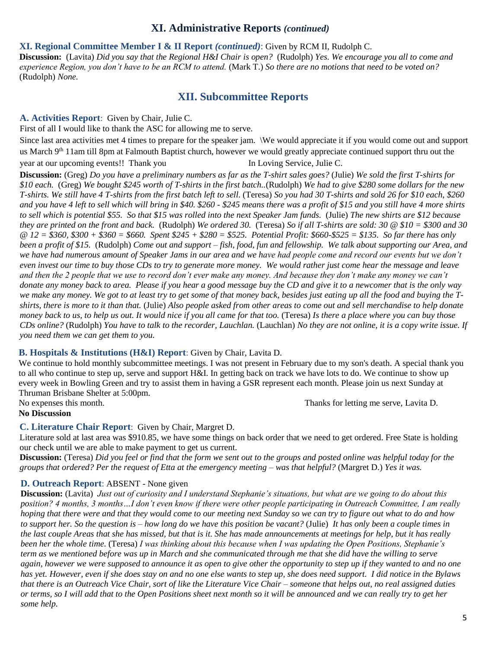### **XI. Administrative Reports** *(continued)*

#### **XI. Regional Committee Member I & II Report** *(continued)*: Given by RCM II, Rudolph C.

**Discussion:** (Lavita) *Did you say that the Regional H&I Chair is open?* (Rudolph) *Yes. We encourage you all to come and experience Region, you don't have to be an RCM to attend.* (Mark T.) *So there are no motions that need to be voted on?*  (Rudolph) *None.* 

# **XII. Subcommittee Reports**

### **A. Activities Report**: Given by Chair, Julie C.

First of all I would like to thank the ASC for allowing me to serve.

Since last area activities met 4 times to prepare for the speaker jam. \We would appreciate it if you would come out and support us March 9<sup>th</sup> 11am till 8pm at Falmouth Baptist church, however we would greatly appreciate continued support thru out the year at our upcoming events!! Thank you In Loving Service, Julie C.

**Discussion:** (Greg) *Do you have a preliminary numbers as far as the T-shirt sales goes?* (Julie) *We sold the first T-shirts for \$10 each.* (Greg) *We bought \$245 worth of T-shirts in the first batch..*(Rudolph) *We had to give \$280 some dollars for the new T-shirts. We still have 4 T-shirts from the first batch left to sell.* (Teresa) *So you had 30 T-shirts and sold 26 for \$10 each, \$260 and you have 4 left to sell which will bring in \$40. \$260 - \$245 means there was a profit of \$15 and you still have 4 more shirts to sell which is potential \$55. So that \$15 was rolled into the next Speaker Jam funds.* (Julie) *The new shirts are \$12 because they are printed on the front and back.* (Rudolph) *We ordered 30.* (Teresa) *So if all T-shirts are sold: 30 @ \$10 = \$300 and 30 @ 12 = \$360, \$300 + \$360 = \$660. Spent \$245 + \$280 = \$525. Potential Profit: \$660-\$525 = \$135. So far there has only been a profit of \$15.* (Rudolph) *Come out and support – fish, food, fun and fellowship. We talk about supporting our Area, and*  we have had numerous amount of Speaker Jams in our area and we have had people come and record our events but we don't *even invest our time to buy those CDs to try to generate more money. We would rather just come hear the message and leave and then the 2 people that we use to record don't ever make any money. And because they don't make any money we can't donate any money back to area. Please if you hear a good message buy the CD and give it to a newcomer that is the only way we make any money. We got to at least try to get some of that money back, besides just eating up all the food and buying the Tshirts, there is more to it than that.* (Julie) *Also people asked from other areas to come out and sell merchandise to help donate money back to us, to help us out. It would nice if you all came for that too.* (Teresa) *Is there a place where you can buy those CDs online?* (Rudolph) *You have to talk to the recorder, Lauchlan.* (Lauchlan) *No they are not online, it is a copy write issue. If you need them we can get them to you.* 

#### **B. Hospitals & Institutions (H&I) Report**: Given by Chair, Lavita D.

We continue to hold monthly subcommittee meetings. I was not present in February due to my son's death. A special thank you to all who continue to step up, serve and support H&I. In getting back on track we have lots to do. We continue to show up every week in Bowling Green and try to assist them in having a GSR represent each month. Please join us next Sunday at Thruman Brisbane Shelter at 5:00pm.

No expenses this month. Thanks for letting me serve, Lavita D.

#### **No Discussion**

# **C. Literature Chair Report**: Given by Chair, Margret D.

Literature sold at last area was \$910.85, we have some things on back order that we need to get ordered. Free State is holding our check until we are able to make payment to get us current.

**Discussion:** (Teresa) *Did you feel or find that the form we sent out to the groups and posted online was helpful today for the groups that ordered? Per the request of Etta at the emergency meeting – was that helpful?* (Margret D.) *Yes it was.* 

# **D. Outreach Report**: ABSENT - None given

**Discussion:** (Lavita) *Just out of curiosity and I understand Stephanie's situations, but what are we going to do about this position? 4 months, 3 months…I don't even know if there were other people participating in Outreach Committee, I am really hoping that there were and that they would come to our meeting next Sunday so we can try to figure out what to do and how to support her. So the question is – how long do we have this position be vacant?* (Julie) *It has only been a couple times in the last couple Areas that she has missed, but that is it. She has made announcements at meetings for help, but it has really been her the whole time.* (Teresa) *I was thinking about this because when I was updating the Open Positions, Stephanie's term as we mentioned before was up in March and she communicated through me that she did have the willing to serve again, however we were supposed to announce it as open to give other the opportunity to step up if they wanted to and no one has yet. However, even if she does stay on and no one else wants to step up, she does need support. I did notice in the Bylaws that there is an Outreach Vice Chair, sort of like the Literature Vice Chair – someone that helps out, no real assigned duties or terms, so I will add that to the Open Positions sheet next month so it will be announced and we can really try to get her some help.*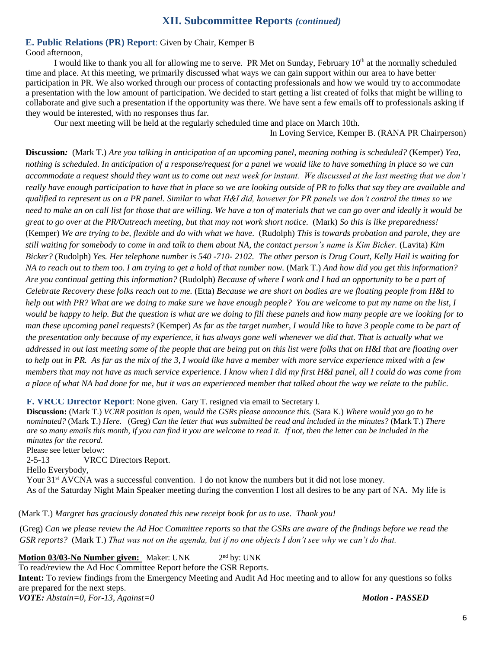# **XII. Subcommittee Reports** *(continued)*

#### **E. Public Relations (PR) Report**: Given by Chair, Kemper B

Good afternoon,

I would like to thank you all for allowing me to serve. PR Met on Sunday, February  $10<sup>th</sup>$  at the normally scheduled time and place. At this meeting, we primarily discussed what ways we can gain support within our area to have better participation in PR. We also worked through our process of contacting professionals and how we would try to accommodate a presentation with the low amount of participation. We decided to start getting a list created of folks that might be willing to collaborate and give such a presentation if the opportunity was there. We have sent a few emails off to professionals asking if they would be interested, with no responses thus far.

Our next meeting will be held at the regularly scheduled time and place on March 10th.

In Loving Service, Kemper B. (RANA PR Chairperson)

**Discussion***:* (Mark T.) *Are you talking in anticipation of an upcoming panel, meaning nothing is scheduled?* (Kemper) *Yea, nothing is scheduled. In anticipation of a response/request for a panel we would like to have something in place so we can accommodate a request should they want us to come out next week for instant. We discussed at the last meeting that we don't really have enough participation to have that in place so we are looking outside of PR to folks that say they are available and qualified to represent us on a PR panel. Similar to what H&I did, however for PR panels we don't control the times so we need to make an on call list for those that are willing. We have a ton of materials that we can go over and ideally it would be great to go over at the PR/Outreach meeting, but that may not work short notice.* (Mark) *So this is like preparedness!*  (Kemper) *We are trying to be, flexible and do with what we have.* (Rudolph) *This is towards probation and parole, they are still waiting for somebody to come in and talk to them about NA, the contact person's name is Kim Bicker.* (Lavita) *Kim Bicker?* (Rudolph) *Yes. Her telephone number is 540 -710- 2102. The other person is Drug Court, Kelly Hail is waiting for NA to reach out to them too. I am trying to get a hold of that number now.* (Mark T.) *And how did you get this information? Are you continual getting this information?* (Rudolph) *Because of where I work and I had an opportunity to be a part of Celebrate Recovery these folks reach out to me.* (Etta) *Because we are short on bodies are we floating people from H&I to help out with PR? What are we doing to make sure we have enough people? You are welcome to put my name on the list, I would be happy to help. But the question is what are we doing to fill these panels and how many people are we looking for to man these upcoming panel requests?* (Kemper) *As far as the target number, I would like to have 3 people come to be part of the presentation only because of my experience, it has always gone well whenever we did that. That is actually what we addressed in out last meeting some of the people that are being put on this list were folks that on H&I that are floating over to help out in PR. As far as the mix of the 3, I would like have a member with more service experience mixed with a few members that may not have as much service experience. I know when I did my first H&I panel, all I could do was come from a place of what NA had done for me, but it was an experienced member that talked about the way we relate to the public.* 

**F. VRCC Director Report**: None given. Gary T. resigned via email to Secretary I.

**Discussion:** (Mark T.) *VCRR position is open, would the GSRs please announce this.* (Sara K.) *Where would you go to be nominated?* (Mark T.) *Here.* (Greg) *Can the letter that was submitted be read and included in the minutes?* (Mark T.) *There are so many emails this month, if you can find it you are welcome to read it. If not, then the letter can be included in the minutes for the record.* 

Please see letter below: 2-5-13 VRCC Directors Report. Hello Everybody, Your 31<sup>st</sup> AVCNA was a successful convention. I do not know the numbers but it did not lose money. As of the Saturday Night Main Speaker meeting during the convention I lost all desires to be any part of NA. My life is

 $\text{Aut } T$  ) Margret has graciously donated this new receipt hook for us to use Thank youl  $\mathcal{L}_{\text{max}}$  be a warm  $\mathcal{L}_{\text{max}}$  and  $\mathcal{L}_{\text{max}}$  is the model whose measuremeasuremeasuremeasuremeasuremeasuremeasuremeasuremeasuremeasuremeasuremeasuremeasuremeasuremeasuremeasuremeasuremeasuremeasuremeasuremeasur (Mark T.) *Margret has graciously donated this new receipt book for us to use. Thank you!*

(Greg) *Can we please review the Ad Hoc Committee reports so that the GSRs are aware of the findings before we read the* GSR reports? (Mark T.) *That was not on the agenda, but if no one objects I don't see why we can't do that.* 

**Motion 03/03-No Number given:** Maker: UNK 2  $2<sup>nd</sup>$  by: UNK

To read/review the Ad Hoc Committee Report before the GSR Reports.

**Intent:** To review findings from the Emergency Meeting and Audit Ad Hoc meeting and to allow for any questions so folks are prepared for the next steps.

*VOTE: Abstain=0, For-13, Against=0 Motion - PASSED*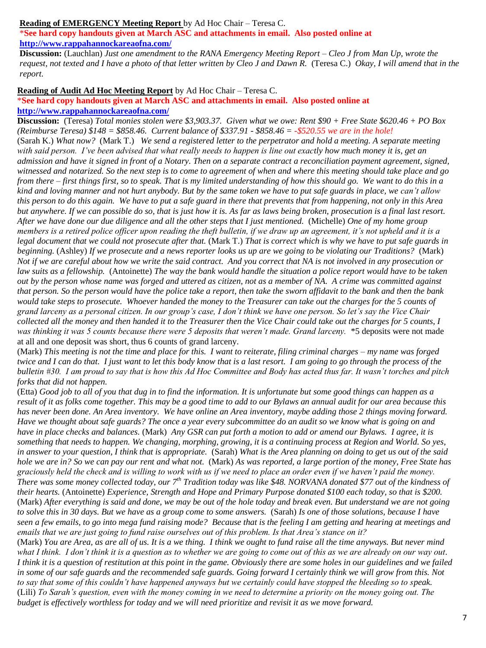#### **Reading of EMERGENCY Meeting Report** by Ad Hoc Chair – Teresa C.

\***See hard copy handouts given at March ASC and attachments in email. Also posted online at <http://www.rappahannockareaofna.com/>**

**Discussion:** (Lauchlan) *Just one amendment to the RANA Emergency Meeting Report – Cleo J from Man Up, wrote the request, not texted and I have a photo of that letter written by Cleo J and Dawn R.* (Teresa C.) *Okay, I will amend that in the report.*

**Reading of Audit Ad Hoc Meeting Report** by Ad Hoc Chair – Teresa C.

#### \***See hard copy handouts given at March ASC and attachments in email. Also posted online at <http://www.rappahannockareaofna.com/>**

**Discussion:** (Teresa) *Total monies stolen were \$3,903.37. Given what we owe: Rent \$90 + Free State \$620.46 + PO Box (Reimburse Teresa) \$148 = \$858.46. Current balance of \$337.91 - \$858.46 = -\$520.55 we are in the hole!* (Sarah K.) *What now?* (Mark T.) *We send a registered letter to the perpetrator and hold a meeting. A separate meeting with said person. I've been advised that what really needs to happen is line out exactly how much money it is, get an admission and have it signed in front of a Notary. Then on a separate contract a reconciliation payment agreement, signed, witnessed and notarized. So the next step is to come to agreement of when and where this meeting should take place and go from there – first things first, so to speak. That is my limited understanding of how this should go. We want to do this in a kind and loving manner and not hurt anybody. But by the same token we have to put safe guards in place, we can't allow this person to do this again. We have to put a safe guard in there that prevents that from happening, not only in this Area but anywhere. If we can possible do so, that is just how it is. As far as laws being broken, prosecution is a final last resort. After we have done our due diligence and all the other steps that I just mentioned.* (Michelle) *One of my home group members is a retired police officer upon reading the theft bulletin, if we draw up an agreement, it's not upheld and it is a*  legal document that we could not prosecute after that. (Mark T.) *That is correct which is why we have to put safe guards in beginning.* (Ashley) *If we prosecute and a news reporter looks us up are we going to be violating our Traditions?* (Mark) *Not if we are careful about how we write the said contract. And you correct that NA is not involved in any prosecution or law suits as a fellowship.* (Antoinette) *The way the bank would handle the situation a police report would have to be taken out by the person whose name was forged and uttered as citizen, not as a member of NA. A crime was committed against that person. So the person would have the police take a report, then take the sworn affidavit to the bank and then the bank would take steps to prosecute. Whoever handed the money to the Treasurer can take out the charges for the 5 counts of grand larceny as a personal citizen. In our group's case, I don't think we have one person. So let's say the Vice Chair collected all the money and then handed it to the Treasurer then the Vice Chair could take out the charges for 5 counts, I was thinking it was 5 counts because there were 5 deposits that weren't made. Grand larceny.* \*5 deposits were not made at all and one deposit was short, thus 6 counts of grand larceny.

(Mark) *This meeting is not the time and place for this. I want to reiterate, filing criminal charges – my name was forged twice and I can do that. I just want to let this body know that is a last resort. I am going to go through the process of the bulletin #30. I am proud to say that is how this Ad Hoc Committee and Body has acted thus far. It wasn't torches and pitch forks that did not happen.*

(Etta) *Good job to all of you that dug in to find the information. It is unfortunate but some good things can happen as a result of it as folks come together. This may be a good time to add to our Bylaws an annual audit for our area because this has never been done. An Area inventory. We have online an Area inventory, maybe adding those 2 things moving forward. Have we thought about safe guards? The once a year every subcommittee do an audit so we know what is going on and have in place checks and balances.* (Mark) *Any GSR can put forth a motion to add or amend our Bylaws. I agree, it is something that needs to happen. We changing, morphing, growing, it is a continuing process at Region and World. So yes, in answer to your question, I think that is appropriate.* (Sarah) *What is the Area planning on doing to get us out of the said hole we are in? So we can pay our rent and what not.* (Mark) As was reported, a large portion of the money, Free State has *graciously held the check and is willing to work with us if we need to place an order even if we haven't paid the money. There was some money collected today, our 7th Tradition today was like \$48. NORVANA donated \$77 out of the kindness of their hearts.* (Antoinette) *Experience, Strength and Hope and Primary Purpose donated \$100 each today, so that is \$200.* (Mark) *After everything is said and done, we may be out of the hole today and break even. But understand we are not going to solve this in 30 days. But we have as a group come to some answers.* (Sarah) *Is one of those solutions, because I have seen a few emails, to go into mega fund raising mode? Because that is the feeling I am getting and hearing at meetings and emails that we are just going to fund raise ourselves out of this problem. Is that Area's stance on it?*

(Mark) *You are Area, as are all of us. It is a we thing. I think we ought to fund raise all the time anyways. But never mind what I think. I don't think it is a question as to whether we are going to come out of this as we are already on our way out. I think it is a question of restitution at this point in the game. Obviously there are some holes in our guidelines and we failed in some of our safe guards and the recommended safe guards. Going forward I certainly think we will grow from this. Not to say that some of this couldn't have happened anyways but we certainly could have stopped the bleeding so to speak.*  (Lili) *To Sarah's question, even with the money coming in we need to determine a priority on the money going out. The budget is effectively worthless for today and we will need prioritize and revisit it as we move forward.*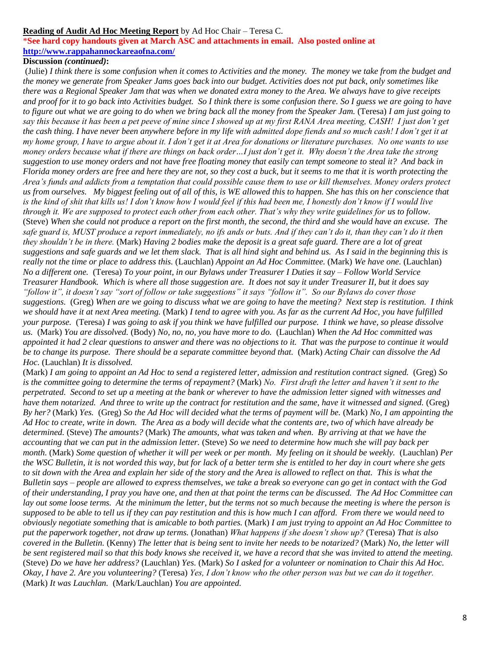#### **Reading of Audit Ad Hoc Meeting Report** by Ad Hoc Chair – Teresa C.

\***See hard copy handouts given at March ASC and attachments in email. Also posted online at <http://www.rappahannockareaofna.com/>**

#### **Discussion** *(continued)***:**

(Julie) *I think there is some confusion when it comes to Activities and the money. The money we take from the budget and the money we generate from Speaker Jams goes back into our budget. Activities does not put back, only sometimes like there was a Regional Speaker Jam that was when we donated extra money to the Area. We always have to give receipts and proof for it to go back into Activities budget. So I think there is some confusion there. So I guess we are going to have to figure out what we are going to do when we bring back all the money from the Speaker Jam.* (Teresa) *I am just going to say this because it has been a pet peeve of mine since I showed up at my first RANA Area meeting, CASH! I just don't get the cash thing. I have never been anywhere before in my life with admitted dope fiends and so much cash! I don't get it at my home group, I have to argue about it. I don't get it at Area for donations or literature purchases. No one wants to use money orders because what if there are things on back order…I just don't get it. Why doesn't the Area take the strong suggestion to use money orders and not have free floating money that easily can tempt someone to steal it? And back in Florida money orders are free and here they are not, so they cost a buck, but it seems to me that it is worth protecting the Area's funds and addicts from a temptation that could possible cause them to use or kill themselves. Money orders protect us from ourselves. My biggest feeling out of all of this, is WE allowed this to happen. She has this on her conscience that is the kind of shit that kills us! I don't know how I would feel if this had been me, I honestly don't know if I would live through it. We are supposed to protect each other from each other. That's why they write guidelines for us to follow.*  (Steve) *When she could not produce a report on the first month, the second, the third and she would have an excuse. The safe guard is, MUST produce a report immediately, no ifs ands or buts. And if they can't do it, than they can't do it then they shouldn't be in there.* (Mark) *Having 2 bodies make the deposit is a great safe guard. There are a lot of great suggestions and safe guards and we let them slack. That is all hind sight and behind us. As I said in the beginning this is really not the time or place to address this.* (Lauchlan) *Appoint an Ad Hoc Committee.* (Mark) *We have one.* (Lauchlan) *No a different one.* (Teresa) *To your point, in our Bylaws under Treasurer I Duties it say – Follow World Service Treasurer Handbook. Which is where all those suggestion are. It does not say it under Treasurer II, but it does say "follow it", it doesn't say "sort of follow or take suggestions" it says "follow it". So our Bylaws do cover those suggestions.* (Greg) *When are we going to discuss what we are going to have the meeting? Next step is restitution. I think we should have it at next Area meeting.* (Mark) *I tend to agree with you. As far as the current Ad Hoc, you have fulfilled your purpose.* (Teresa) *I was going to ask if you think we have fulfilled our purpose. I think we have, so please dissolve us.* (Mark) *You are dissolved.* (Body) *No, no, no, you have more to do.* (Lauchlan) *When the Ad Hoc committed was appointed it had 2 clear questions to answer and there was no objections to it. That was the purpose to continue it would be to change its purpose. There should be a separate committee beyond that.* (Mark) *Acting Chair can dissolve the Ad Hoc.* (Lauchlan) *It is dissolved.* 

(Mark) *I am going to appoint an Ad Hoc to send a registered letter, admission and restitution contract signed.* (Greg) *So is the committee going to determine the terms of repayment?* (Mark) *No. First draft the letter and haven't it sent to the perpetrated. Second to set up a meeting at the bank or wherever to have the admission letter signed with witnesses and have them notarized. And three to write up the contract for restitution and the same, have it witnessed and signed.* (Greg) *By her?* (Mark) *Yes.* (Greg) *So the Ad Hoc will decided what the terms of payment will be.* (Mark) *No, I am appointing the Ad Hoc to create, write in down. The Area as a body will decide what the contents are, two of which have already be determined.* (Steve) *The amounts?* (Mark) *The amounts, what was taken and when. By arriving at that we have the accounting that we can put in the admission letter.* (Steve) *So we need to determine how much she will pay back per month.* (Mark) *Some question of whether it will per week or per month. My feeling on it should be weekly.* (Lauchlan) *Per the WSC Bulletin, it is not worded this way, but for lack of a better term she is entitled to her day in court where she gets*  to sit down with the Area and explain her side of the story and the Area is allowed to reflect on that. This is what the *Bulletin says – people are allowed to express themselves, we take a break so everyone can go get in contact with the God of their understanding, I pray you have one, and then at that point the terms can be discussed. The Ad Hoc Committee can lay out some loose terms. At the minimum the letter, but the terms not so much because the meeting is where the person is supposed to be able to tell us if they can pay restitution and this is how much I can afford. From there we would need to obviously negotiate something that is amicable to both parties.* (Mark) *I am just trying to appoint an Ad Hoc Committee to put the paperwork together, not draw up terms.* (Jonathan) *What happens if she doesn't show up?* (Teresa) *That is also covered in the Bulletin.* (Kenny) *The letter that is being sent to invite her needs to be notarized?* (Mark) *No, the letter will be sent registered mail so that this body knows she received it, we have a record that she was invited to attend the meeting.* (Steve) *Do we have her address?* (Lauchlan) *Yes.* (Mark) *So I asked for a volunteer or nomination to Chair this Ad Hoc. Okay, I have 2. Are you volunteering?* (Teresa) *Yes, I don't know who the other person was but we can do it together.*  (Mark) *It was Lauchlan.* (Mark/Lauchlan) *You are appointed.*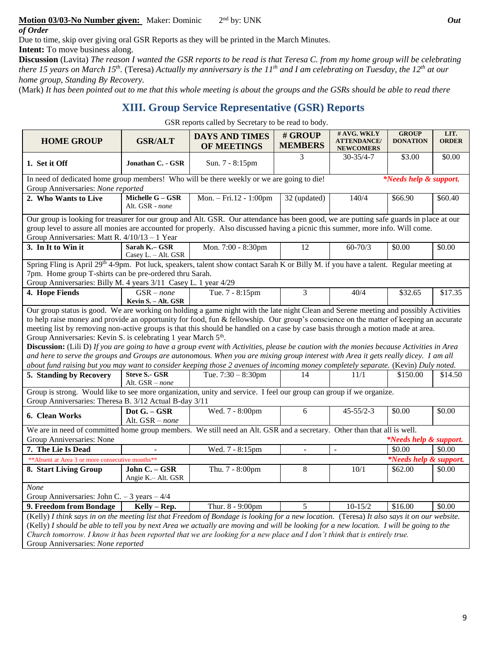#### **Motion 03/03-No Number given:** Maker: Dominic 2 2<sup>nd</sup> by: UNK *Out*

*of Order*

Due to time, skip over giving oral GSR Reports as they will be printed in the March Minutes.

**Intent:** To move business along.

**Discussion** (Lavita) *The reason I wanted the GSR reports to be read is that Teresa C. from my home group will be celebrating there 15 years on March 15th .* (Teresa) *Actually my anniversary is the 11th and I am celebrating on Tuesday, the 12th at our home group, Standing By Recovery.* 

(Mark) *It has been pointed out to me that this whole meeting is about the groups and the GSRs should be able to read there* 

#### **XIII. Group Service Representative (GSR) Reports** *reports. Seeing how we adopted this agenda as the format we will get through them.*

GSR reports called by Secretary to be read to body.

| <b>HOME GROUP</b>                                                                                                                                                                                                                                                                                                                                                                                                                                                                                                                                                                                                                                                                                                                                                                                                                                                                                                         | <b>GSR/ALT</b>                                                                                                                                                                                                                                                                                                                                                                                                                                                 | <b>DAYS AND TIMES</b><br>OF MEETINGS | # GROUP<br><b>MEMBERS</b> | # AVG. WKLY<br><b>ATTENDANCE/</b><br><b>NEWCOMERS</b> | <b>GROUP</b><br><b>DONATION</b>   | LIT.<br><b>ORDER</b> |  |  |  |  |  |
|---------------------------------------------------------------------------------------------------------------------------------------------------------------------------------------------------------------------------------------------------------------------------------------------------------------------------------------------------------------------------------------------------------------------------------------------------------------------------------------------------------------------------------------------------------------------------------------------------------------------------------------------------------------------------------------------------------------------------------------------------------------------------------------------------------------------------------------------------------------------------------------------------------------------------|----------------------------------------------------------------------------------------------------------------------------------------------------------------------------------------------------------------------------------------------------------------------------------------------------------------------------------------------------------------------------------------------------------------------------------------------------------------|--------------------------------------|---------------------------|-------------------------------------------------------|-----------------------------------|----------------------|--|--|--|--|--|
| 1. Set it Off                                                                                                                                                                                                                                                                                                                                                                                                                                                                                                                                                                                                                                                                                                                                                                                                                                                                                                             | Jonathan C. - GSR                                                                                                                                                                                                                                                                                                                                                                                                                                              | Sun. 7 - 8:15pm                      | 3                         | $30 - 35/4 - 7$                                       | \$3.00                            | \$0.00               |  |  |  |  |  |
| In need of dedicated home group members! Who will be there weekly or we are going to die!                                                                                                                                                                                                                                                                                                                                                                                                                                                                                                                                                                                                                                                                                                                                                                                                                                 |                                                                                                                                                                                                                                                                                                                                                                                                                                                                |                                      |                           |                                                       | <i>*Needs help &amp; support.</i> |                      |  |  |  |  |  |
| Group Anniversaries: None reported                                                                                                                                                                                                                                                                                                                                                                                                                                                                                                                                                                                                                                                                                                                                                                                                                                                                                        |                                                                                                                                                                                                                                                                                                                                                                                                                                                                | Mon. - Fri.12 - 1:00pm               | 32 (updated)              | 140/4                                                 |                                   |                      |  |  |  |  |  |
| 2. Who Wants to Live                                                                                                                                                                                                                                                                                                                                                                                                                                                                                                                                                                                                                                                                                                                                                                                                                                                                                                      | Michelle G - GSR<br>Alt. GSR - none                                                                                                                                                                                                                                                                                                                                                                                                                            | \$66.90                              | $\overline{$}60.40$       |                                                       |                                   |                      |  |  |  |  |  |
| Our group is looking for treasurer for our group and Alt. GSR. Our attendance has been good, we are putting safe guards in place at our<br>group level to assure all monies are accounted for properly. Also discussed having a picnic this summer, more info. Will come.<br>Group Anniversaries: Matt R. 4/10/13 - 1 Year                                                                                                                                                                                                                                                                                                                                                                                                                                                                                                                                                                                                |                                                                                                                                                                                                                                                                                                                                                                                                                                                                |                                      |                           |                                                       |                                   |                      |  |  |  |  |  |
| 3. In It to Win it                                                                                                                                                                                                                                                                                                                                                                                                                                                                                                                                                                                                                                                                                                                                                                                                                                                                                                        | Sarah K.- GSR<br>Casey L. - Alt. GSR                                                                                                                                                                                                                                                                                                                                                                                                                           | Mon. 7:00 - 8:30pm                   | 12                        | $60 - 70/3$                                           | \$0.00                            | \$0.00               |  |  |  |  |  |
| Spring Fling is April 29 <sup>th</sup> 4-9pm. Pot luck, speakers, talent show contact Sarah K or Billy M. if you have a talent. Regular meeting at<br>7pm. Home group T-shirts can be pre-ordered thru Sarah.<br>Group Anniversaries: Billy M. 4 years 3/11 Casey L. 1 year 4/29                                                                                                                                                                                                                                                                                                                                                                                                                                                                                                                                                                                                                                          |                                                                                                                                                                                                                                                                                                                                                                                                                                                                |                                      |                           |                                                       |                                   |                      |  |  |  |  |  |
| 4. Hope Fiends                                                                                                                                                                                                                                                                                                                                                                                                                                                                                                                                                                                                                                                                                                                                                                                                                                                                                                            | $GSR - none$<br>Kevin S. - Alt. GSR                                                                                                                                                                                                                                                                                                                                                                                                                            | Tue. 7 - 8:15pm                      | 3                         | 40/4                                                  | \$32.65                           | \$17.35              |  |  |  |  |  |
| to help raise money and provide an opportunity for food, fun & fellowship. Our group's conscience on the matter of keeping an accurate<br>meeting list by removing non-active groups is that this should be handled on a case by case basis through a motion made at area.<br>Group Anniversaries: Kevin S. is celebrating 1 year March 5 <sup>th</sup> .<br>Discussion: (Lili D) If you are going to have a group event with Activities, please be caution with the monies because Activities in Area<br>and here to serve the groups and Groups are autonomous. When you are mixing group interest with Area it gets really dicey. I am all<br>about fund raising but you may want to consider keeping those 2 avenues of incoming money completely separate. (Kevin) Duly noted.<br><b>Steve S.- GSR</b><br>5. Standing by Recovery<br>Tue. $7:30 - 8:30$ pm<br>14<br>\$150.00<br>\$14.50<br>11/1<br>Alt. $GSR - none$ |                                                                                                                                                                                                                                                                                                                                                                                                                                                                |                                      |                           |                                                       |                                   |                      |  |  |  |  |  |
| Group is strong. Would like to see more organization, unity and service. I feel our group can group if we organize.<br>Group Anniversaries: Theresa B. 3/12 Actual B-day 3/11                                                                                                                                                                                                                                                                                                                                                                                                                                                                                                                                                                                                                                                                                                                                             |                                                                                                                                                                                                                                                                                                                                                                                                                                                                |                                      |                           |                                                       |                                   |                      |  |  |  |  |  |
| 6. Clean Works                                                                                                                                                                                                                                                                                                                                                                                                                                                                                                                                                                                                                                                                                                                                                                                                                                                                                                            | Dot G. - GSR<br>Alt. GSR - none                                                                                                                                                                                                                                                                                                                                                                                                                                | Wed. 7 - 8:00pm                      | 6                         | $45 - 55/2 - 3$                                       | \$0.00                            | \$0.00               |  |  |  |  |  |
| We are in need of committed home group members. We still need an Alt. GSR and a secretary. Other than that all is well.<br>Group Anniversaries: None                                                                                                                                                                                                                                                                                                                                                                                                                                                                                                                                                                                                                                                                                                                                                                      |                                                                                                                                                                                                                                                                                                                                                                                                                                                                |                                      |                           |                                                       | <i>*Needs help &amp; support.</i> |                      |  |  |  |  |  |
| 7. The Lie Is Dead                                                                                                                                                                                                                                                                                                                                                                                                                                                                                                                                                                                                                                                                                                                                                                                                                                                                                                        | $\sim$                                                                                                                                                                                                                                                                                                                                                                                                                                                         | Wed. 7 - 8:15pm                      | $\mathbf{u}$              | $\equiv$                                              | \$0.00                            | \$0.00               |  |  |  |  |  |
| ** Absent at Area 3 or more consecutive months**                                                                                                                                                                                                                                                                                                                                                                                                                                                                                                                                                                                                                                                                                                                                                                                                                                                                          |                                                                                                                                                                                                                                                                                                                                                                                                                                                                |                                      |                           |                                                       | <i>*Needs help &amp; support.</i> |                      |  |  |  |  |  |
| 8. Start Living Group                                                                                                                                                                                                                                                                                                                                                                                                                                                                                                                                                                                                                                                                                                                                                                                                                                                                                                     | John C. - GSR<br>Angie K.- Alt. GSR                                                                                                                                                                                                                                                                                                                                                                                                                            | Thu. 7 - 8:00pm                      | 8                         | 10/1                                                  | \$62.00                           | \$0.00               |  |  |  |  |  |
| <b>None</b><br>Group Anniversaries: John C. - 3 years $-4/4$                                                                                                                                                                                                                                                                                                                                                                                                                                                                                                                                                                                                                                                                                                                                                                                                                                                              |                                                                                                                                                                                                                                                                                                                                                                                                                                                                |                                      |                           |                                                       |                                   |                      |  |  |  |  |  |
|                                                                                                                                                                                                                                                                                                                                                                                                                                                                                                                                                                                                                                                                                                                                                                                                                                                                                                                           |                                                                                                                                                                                                                                                                                                                                                                                                                                                                | Thur. 8 - 9:00pm                     | 5                         | $10 - 15/2$                                           | \$16.00                           | \$0.00               |  |  |  |  |  |
| Group Anniversaries: None reported                                                                                                                                                                                                                                                                                                                                                                                                                                                                                                                                                                                                                                                                                                                                                                                                                                                                                        | 9. Freedom from Bondage<br>Kelly – Rep.<br>(Kelly) I think says in on the meeting list that Freedom of Bondage is looking for a new location. (Teresa) It also says it on our website.<br>(Kelly) I should be able to tell you by next Area we actually are moving and will be looking for a new location. I will be going to the<br>Church tomorrow. I know it has been reported that we are looking for a new place and I don't think that is entirely true. |                                      |                           |                                                       |                                   |                      |  |  |  |  |  |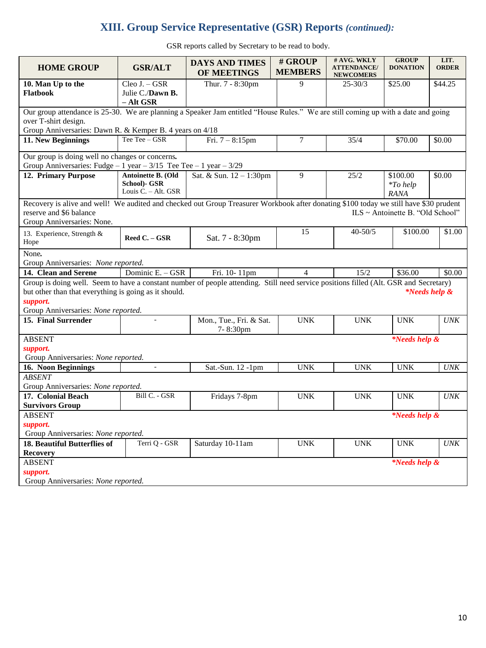# **XIII. Group Service Representative (GSR) Reports** *(continued):*

GSR reports called by Secretary to be read to body.

| <b>HOME GROUP</b>                                                                                                                                                                                                                                 | <b>GSR/ALT</b>                                              | <b>DAYS AND TIMES</b><br>OF MEETINGS | # GROUP<br><b>MEMBERS</b> | # AVG. WKLY<br><b>ATTENDANCE/</b><br><b>NEWCOMERS</b> | <b>GROUP</b><br><b>DONATION</b>        | LIT.<br><b>ORDER</b> |  |  |  |  |
|---------------------------------------------------------------------------------------------------------------------------------------------------------------------------------------------------------------------------------------------------|-------------------------------------------------------------|--------------------------------------|---------------------------|-------------------------------------------------------|----------------------------------------|----------------------|--|--|--|--|
| 10. Man Up to the<br><b>Flatbook</b>                                                                                                                                                                                                              | Cleo J. - GSR<br>Julie C./Dawn B.<br>- Alt GSR              | Thur. 7 - 8:30pm                     | 9                         | $25 - 30/3$                                           | \$25.00                                | \$44.25              |  |  |  |  |
| Our group attendance is 25-30. We are planning a Speaker Jam entitled "House Rules." We are still coming up with a date and going<br>over T-shirt design.<br>Group Anniversaries: Dawn R. & Kemper B. 4 years on 4/18                             |                                                             |                                      |                           |                                                       |                                        |                      |  |  |  |  |
| 11. New Beginnings                                                                                                                                                                                                                                | Tee Tee - GSR                                               | Fri. $7 - 8:15$ pm                   | 7                         | 35/4                                                  | \$70.00                                | \$0.00               |  |  |  |  |
| Our group is doing well no changes or concerns.<br>Group Anniversaries: Fudge $-1$ year $-3/15$ Tee Tee $-1$ year $-3/29$                                                                                                                         |                                                             |                                      |                           |                                                       |                                        |                      |  |  |  |  |
| 12. Primary Purpose                                                                                                                                                                                                                               | Antoinette B. (Old<br>School)- GSR<br>Louis $C. - Alt. GSR$ | Sat. & Sun. 12 - 1:30pm              | 9                         | 25/2                                                  | \$100.00<br>$*$ To help<br><b>RANA</b> | \$0.00               |  |  |  |  |
| Recovery is alive and well! We audited and checked out Group Treasurer Workbook after donating \$100 today we still have \$30 prudent<br>reserve and \$6 balance<br>Group Anniversaries: None.                                                    |                                                             |                                      |                           |                                                       | ILS ~ Antoinette B. "Old School"       |                      |  |  |  |  |
| 13. Experience, Strength &<br>Hope                                                                                                                                                                                                                | Reed C. - GSR                                               | Sat. 7 - 8:30pm                      | 15                        | $40 - 50/5$                                           | \$100.00                               | \$1.00               |  |  |  |  |
| None.<br>Group Anniversaries: None reported.                                                                                                                                                                                                      |                                                             |                                      |                           |                                                       |                                        |                      |  |  |  |  |
| 14. Clean and Serene                                                                                                                                                                                                                              | Dominic E. - GSR                                            | Fri. 10-11pm                         | $\overline{4}$            | 15/2                                                  | \$36.00                                | \$0.00               |  |  |  |  |
| Group is doing well. Seem to have a constant number of people attending. Still need service positions filled (Alt. GSR and Secretary)<br>but other than that everything is going as it should.<br>support.<br>Group Anniversaries: None reported. |                                                             |                                      |                           |                                                       | <i>*Needs help &amp;</i>               |                      |  |  |  |  |
| 15. Final Surrender                                                                                                                                                                                                                               |                                                             | Mon., Tue., Fri. & Sat.<br>7-8:30pm  | <b>UNK</b>                | <b>UNK</b>                                            | <b>UNK</b>                             | <b>UNK</b>           |  |  |  |  |
| <b>ABSENT</b><br><i>*Needs help &amp;</i><br>support.<br>Group Anniversaries: None reported.                                                                                                                                                      |                                                             |                                      |                           |                                                       |                                        |                      |  |  |  |  |
| 16. Noon Beginnings                                                                                                                                                                                                                               | $\overline{a}$                                              | Sat.-Sun. 12 -1pm                    | <b>UNK</b>                | <b>UNK</b>                                            | <b>UNK</b>                             | <b>UNK</b>           |  |  |  |  |
| <b>ABSENT</b><br>Group Anniversaries: None reported.                                                                                                                                                                                              |                                                             |                                      |                           |                                                       |                                        |                      |  |  |  |  |
| 17. Colonial Beach<br><b>Survivors Group</b>                                                                                                                                                                                                      | Bill C. - GSR                                               | Fridays 7-8pm                        | <b>UNK</b>                | <b>UNK</b>                                            | <b>UNK</b>                             | <b>UNK</b>           |  |  |  |  |
| <b>ABSENT</b><br>support.<br>Group Anniversaries: None reported.                                                                                                                                                                                  |                                                             |                                      |                           |                                                       | <i>*Needs help &amp;</i>               |                      |  |  |  |  |
| 18. Beautiful Butterflies of<br><b>Recovery</b>                                                                                                                                                                                                   | Terri Q - GSR                                               | Saturday 10-11am                     | <b>UNK</b>                | $\ensuremath{\text{UNK}}$                             | <b>UNK</b>                             | <b>UNK</b>           |  |  |  |  |
| <b>ABSENT</b><br>support.<br>Group Anniversaries: None reported.                                                                                                                                                                                  |                                                             |                                      |                           |                                                       | <i>*Needs help &amp;</i>               |                      |  |  |  |  |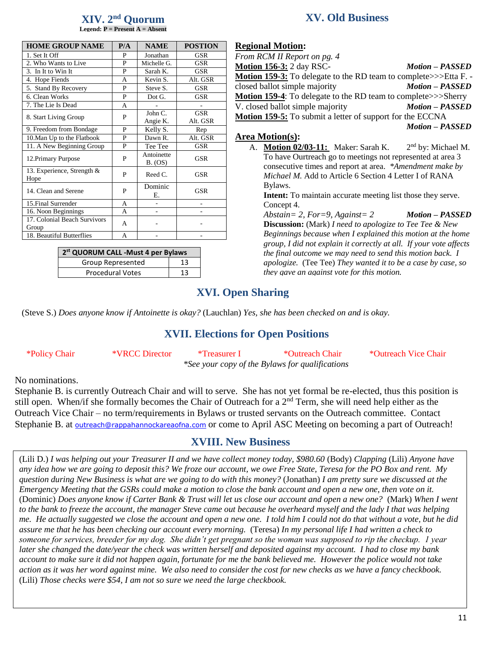#### **XIV. 2 nd Quorum Legend: P = Present A = Absent**

| <b>HOME GROUP NAME</b>             | P/A | <b>NAME</b>           | <b>POSTION</b> |
|------------------------------------|-----|-----------------------|----------------|
| 1. Set It Off                      | P   | Jonathan              | <b>GSR</b>     |
| 2. Who Wants to Live               | P   | Michelle G.           | <b>GSR</b>     |
| 3. In It to Win It                 | P   | Sarah K.              | <b>GSR</b>     |
| 4. Hope Fiends                     | A   | Kevin S.              | Alt. GSR       |
| 5. Stand By Recovery               | P   | Steve S.              | <b>GSR</b>     |
| 6. Clean Works                     | P   | Dot G.                | <b>GSR</b>     |
| 7. The Lie Is Dead                 | A   |                       |                |
|                                    | P   | John C.               | <b>GSR</b>     |
| 8. Start Living Group              |     | Angie K.              | Alt. GSR       |
| 9. Freedom from Bondage            | P   | Kelly S.              | Rep            |
| 10. Man Up to the Flatbook         | P   | Dawn R.               | Alt. GSR       |
| 11. A New Beginning Group          | P   | Tee Tee               | <b>GSR</b>     |
| 12. Primary Purpose                | P   | Antoinette<br>B. (OS) | <b>GSR</b>     |
| 13. Experience, Strength &<br>Hope | P   | Reed C.               | <b>GSR</b>     |
| 14. Clean and Serene               | P   | Dominic<br>Е.         | <b>GSR</b>     |
| 15. Final Surrender                | A   |                       |                |
| 16. Noon Beginnings                | A   | ۰                     |                |
| 17. Colonial Beach Survivors       | A   |                       |                |
| Group                              |     |                       |                |
| 18. Beautiful Butterflies          | A   |                       |                |

| 2 <sup>st</sup> QUORUM CALL -Must 4 per Bylaws |    |  |  |  |  |  |  |
|------------------------------------------------|----|--|--|--|--|--|--|
| Group Represented                              | 13 |  |  |  |  |  |  |
| <b>Procedural Votes</b>                        | 13 |  |  |  |  |  |  |

# **XV. Old Business**

### **Regional Motion:**

| From RCM II Report on pg. 4                                             |                        |
|-------------------------------------------------------------------------|------------------------|
| <b>Motion 156-3: 2 day RSC-</b>                                         | <b>Motion – PASSED</b> |
| <b>Motion 159-3:</b> To delegate to the RD team to complete>>>Etta F. - |                        |
| closed ballot simple majority                                           | <b>Motion - PASSED</b> |
| <b>Motion 159-4:</b> To delegate to the RD team to complete>>>Sherry    |                        |
| V. closed ballot simple majority                                        | <b>Motion - PASSED</b> |
| Motion 159-5: To submit a letter of support for the ECCNA               |                        |
|                                                                         | <b>Motion - PASSED</b> |

### **Area Motion(s):**

A. **Motion 02/03-11:** Maker: Sarah K. 2 2<sup>nd</sup> by: Michael M. To have Ourtreach go to meetings not represented at area 3 consecutive times and report at area. *\*Amendment make by Michael M.* Add to Article 6 Section 4 Letter I of RANA Bylaws.

**Intent:** To maintain accurate meeting list those they serve. Concept 4.

*Abstain= 2, For=9, Against= 2 Motion – PASSED* **Discussion:** (Mark) *I need to apologize to Tee Tee & New Beginnings because when I explained this motion at the home group, I did not explain it correctly at all. If your vote affects the final outcome we may need to send this motion back. I apologize.* (Tee Tee) *They wanted it to be a case by case, so they gave an against vote for this motion.* 

# **XVI. Open Sharing**

(Steve S.) *Does anyone know if Antoinette is okay?* (Lauchlan) *Yes, she has been checked on and is okay.* 

# **XVII. Elections for Open Positions**

| *Policy Chair | <i><b>*VRCC Director</b></i> | *Treasurer I | *Outreach Chair                                 | *Outreach Vice Chair |
|---------------|------------------------------|--------------|-------------------------------------------------|----------------------|
|               |                              |              | *See your copy of the Bylaws for qualifications |                      |

No nominations.

Stephanie B. is currently Outreach Chair and will to serve. She has not yet formal be re-elected, thus this position is still open. When/if she formally becomes the Chair of Outreach for a 2<sup>nd</sup> Term, she will need help either as the Outreach Vice Chair – no term/requirements in Bylaws or trusted servants on the Outreach committee. Contact Stephanie B. at **[outreach@rappahannockareaofna.com](mailto:outreach@rappahannockareaofna.com)** or come to April ASC Meeting on becoming a part of Outreach!

# **XVIII. New Business**

(Lili D.) *I was helping out your Treasurer II and we have collect money today, \$980.60* (Body) *Clapping* (Lili) *Anyone have any idea how we are going to deposit this? We froze our account, we owe Free State, Teresa for the PO Box and rent. My question during New Business is what are we going to do with this money?* (Jonathan) *I am pretty sure we discussed at the Emergency Meeting that the GSRs could make a motion to close the bank account and open a new one, then vote on it.*  (Dominic) *Does anyone know if Carter Bank & Trust will let us close our account and open a new one?* (Mark) *When I went to the bank to freeze the account, the manager Steve came out because he overheard myself and the lady I that was helping me. He actually suggested we close the account and open a new one. I told him I could not do that without a vote, but he did assure me that he has been checking our account every morning.* (Teresa) *In my personal life I had written a check to someone for services, breeder for my dog. She didn't get pregnant so the woman was supposed to rip the checkup. 1 year later she changed the date/year the check was written herself and deposited against my account. I had to close my bank account to make sure it did not happen again, fortunate for me the bank believed me. However the police would not take action as it was her word against mine. We also need to consider the cost for new checks as we have a fancy checkbook.*  (Lili) *Those checks were \$54, I am not so sure we need the large checkbook.*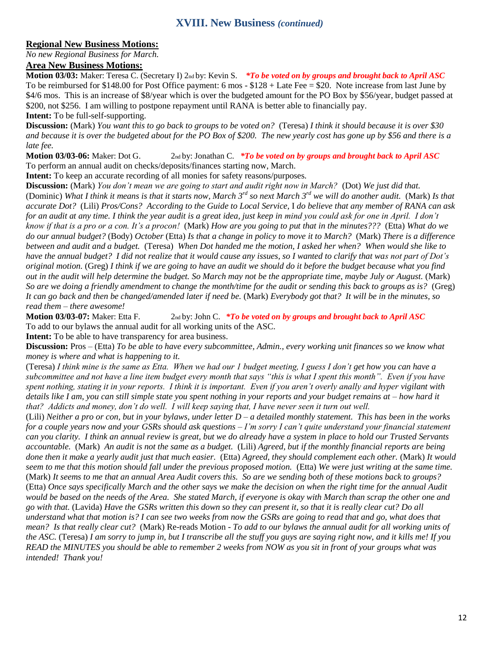### **Regional New Business Motions:**

*No new Regional Business for March.*

#### **Area New Business Motions:**

\$4/6 mos. This is an increase of \$8/year which is over the budgeted amount for the PO Box by \$56/year, budget passed at \$200, not \$256. I am willing to postpone repayment until RANA is better able to financially pay. **Intent:** To be full-self-supporting. **Motion 03/03:** Maker: Teresa C. (Secretary I) 2nd by: Kevin S. *\*To be voted on by groups and brought back to April ASC* To be reimbursed for \$148.00 for Post Office payment: 6 mos - \$128 + Late Fee = \$20. Note increase from last June by

**Discussion:** (Mark) *You want this to go back to groups to be voted on?* (Teresa) *I think it should because it is over \$30*  $\frac{1}{2}$ and because it is over the budgeted about for the PO Box of \$200. The new yearly cost has gone up by \$56 and there is a<br>List of *late fee.* 

**Motion 03/03-06:** Maker: Dot G. 2nd by: Jonathan C. *\*To be voted on by groups and brought back to April ASC* To perform an annual audit on checks/deposits/finances starting now, March.

**Intent:** To keep an accurate recording of all monies for safety reasons/purposes.

**Discussion:** (Mark) *You don't mean we are going to start and audit right now in March?* (Dot) *We just did that.*  (Dominic) *What I think it means is that it starts now, March 3rd so next March 3rd we will do another audit.* (Mark) *Is that accurate Dot?* (Lili) *Pros/Cons? According to the Guide to Local Service,* I *do believe that any member of RANA can ask for an audit at any time. I think the year audit is a great idea, just keep in mind you could ask for one in April. I don't know if that is a pro or a con. It's a procon!* (Mark) *How are you going to put that in the minutes???* (Etta) *What do we do our annual budget?* (Body) *October* (Etta) *Is that a change in policy to move it to March?* (Mark) *There is a difference between and audit and a budget.* (Teresa) *When Dot handed me the motion, I asked her when? When would she like to have the annual budget? I did not realize that it would cause any issues, so I wanted to clarify that was not part of Dot's original motion.* (Greg) *I think if we are going to have an audit we should do it before the budget because what you find out in the audit will help determine the budget. So March may not be the appropriate time, maybe July or August.* (Mark) *So are we doing a friendly amendment to change the month/time for the audit or sending this back to groups as is?* (Greg) *It can go back and then be changed/amended later if need be.* (Mark) *Everybody got that? It will be in the minutes, so read them – there awesome!*

**Motion 03/03-07:** Maker: Etta F. 2nd by: John C. *\*To be voted on by groups and brought back to April ASC* To add to our bylaws the annual audit for all working units of the ASC.

**Intent:** To be able to have transparency for area business.

**Discussion:** Pros – (Etta) *To be able to have every subcommittee, Admin., every working unit finances so we know what money is where and what is happening to it.*

(Teresa) *I think mine is the same as Etta. When we had our 1 budget meeting, I guess I don't get how you can have a subcommittee and not have a line item budget every month that says "this is what I spent this month". Even if you have spent nothing, stating it in your reports. I think it is important. Even if you aren't overly anally and hyper vigilant with details like I am, you can still simple state you spent nothing in your reports and your budget remains at – how hard it that? Addicts and money, don't do well. I will keep saying that, I have never seen it turn out well.* 

(Lili) *Neither a pro or con, but in your bylaws, under letter D – a detailed monthly statement. This has been in the works for a couple years now and your GSRs should ask questions – I'm sorry I can't quite understand your financial statement can you clarity. I think an annual review is great, but we do already have a system in place to hold our Trusted Servants accountable.* (Mark) *An audit is not the same as a budget.* (Lili) *Agreed, but if the monthly financial reports are being done then it make a yearly audit just that much easier.* (Etta) *Agreed, they should complement each other.* (Mark) *It would seem to me that this motion should fall under the previous proposed motion.* (Etta) *We were just writing at the same time.*  (Mark) *It seems to me that an annual Area Audit covers this. So are we sending both of these motions back to groups?*  (Etta) *Once says specifically March and the other says we make the decision on when the right time for the annual Audit would be based on the needs of the Area. She stated March, if everyone is okay with March than scrap the other one and go with that.* (Lavida) *Have the GSRs written this down so they can present it, so that it is really clear cut? Do all understand what that motion is? I can see two weeks from now the GSRs are going to read that and go, what does that mean? Is that really clear cut?* (Mark) Re-reads Motion - *To add to our bylaws the annual audit for all working units of the ASC.* (Teresa) *I am sorry to jump in, but I transcribe all the stuff you guys are saying right now, and it kills me! If you READ the MINUTES you should be able to remember 2 weeks from NOW as you sit in front of your groups what was intended! Thank you!*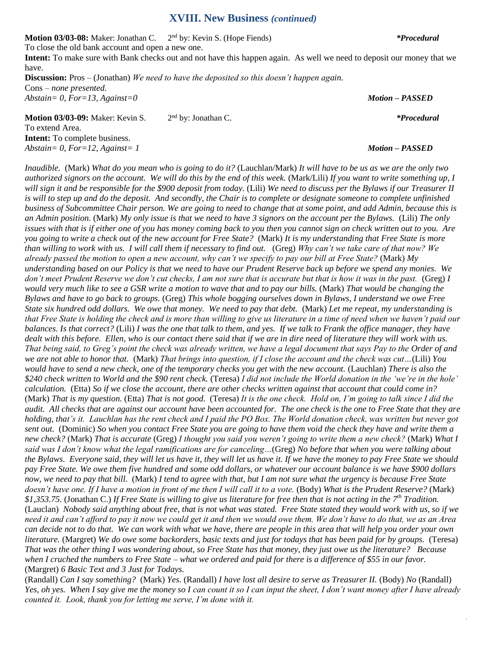#### **XVIII. New Business** *(continued)*

**Motion 03/03-08:** Maker: Jonathan C. 2<sup>nd</sup> by: Kevin S. (Hope Fiends) *\*Procedural \** 

To close the old bank account and open a new one.

**Intent:** To make sure with Bank checks out and not have this happen again. As well we need to deposit our money that we have.

**Discussion:** Pros – (Jonathan) *We need to have the deposited so this doesn't happen again.*  Cons – *none presented. Abstain= 0, For=13, Against=0 Motion – PASSED*

**Motion 03/03-09:** Maker: Kevin S. 2 2<sup>nd</sup> by: Jonathan C. *\*Procedural* To extend Area. **Intent:** To complete business. *Abstain= 0, For=12, Against= 1 Motion – PASSED*

*Inaudible.* (Mark) *What do you mean who is going to do it?* (Lauchlan/Mark) *It will have to be us as we are the only two authorized signors on the account. We will do this by the end of this week.* (Mark/Lili) *If you want to write something up, I will sign it and be responsible for the \$900 deposit from today.* (Lili) *We need to discuss per the Bylaws if our Treasurer II is will to step up and do the deposit. And secondly, the Chair is to complete or designate someone to complete unfinished business of Subcommittee Chair person. We are going to need to change that at some point, and add Admin, because this is an Admin position.* (Mark) *My only issue is that we need to have 3 signors on the account per the Bylaws.* (Lili) *The only issues with that is if either one of you has money coming back to you then you cannot sign on check written out to you. Are you going to write a check out of the new account for Free State?* (Mark) *It is my understanding that Free State is more than willing to work with us. I will call them if necessary to find out.* (Greg) *Why can't we take care of that now? We already passed the motion to open a new account, why can't we specify to pay our bill at Free State?* (Mark) *My understanding based on our Policy is that we need to have our Prudent Reserve back up before we spend any monies. We don't meet Prudent Reserve we don't cut checks, I am not sure that is accurate but that is how it was in the past.* (Greg) I *would very much like to see a GSR write a motion to wave that and to pay our bills.* (Mark) *That would be changing the Bylaws and have to go back to groups.* (Greg) *This whole bogging ourselves down in Bylaws, I understand we owe Free State six hundred odd dollars. We owe that money. We need to pay that debt.* (Mark) *Let me repeat, my understanding is that Free State is holding the check and is more than willing to give us literature in a time of need when we haven't paid our balances. Is that correct?* (Lili) *I was the one that talk to them, and yes. If we talk to Frank the office manager, they have dealt with this before. Ellen, who is our contact there said that if we are in dire need of literature they will work with us. That being said, to Greg's point the check was already written, we have a legal document that says Pay to the Order of and we are not able to honor that.* (Mark) *That brings into question, if I close the account and the check was cut…*(Lili) *You would have to send a new check, one of the temporary checks you get with the new account.* (Lauchlan) *There is also the \$240 check written to World and the \$90 rent check.* (Teresa) *I did not include the World donation in the 'we're in the hole' calculation.* (Etta) *So if we close the account, there are other checks written against that account that could come in?*  (Mark) *That is my question.* (Etta) *That is not good.* (Teresa) *It is the one check. Hold on, I'm going to talk since I did the audit. All checks that are against our account have been accounted for. The one check is the one to Free State that they are holding, that's it. Lauchlan has the rent check and I paid the PO Box. The World donation check, was written but never got sent out.* (Dominic) *So when you contact Free State you are going to have them void the check they have and write them a new check?* (Mark) *That is accurate* (Greg) *I thought you said you weren't going to write them a new check?* (Mark) *What I said was I don't know what the legal ramifications are for canceling…*(Greg) *No before that when you were talking about the Bylaws. Everyone said, they will let us have it, they will let us have it. If we have the money to pay Free State we should pay Free State. We owe them five hundred and some odd dollars, or whatever our account balance is we have \$900 dollars now, we need to pay that bill.* (Mark) *I tend to agree with that, but I am not sure what the urgency is because Free State*  doesn't have one. If I have a motion in front of me then I will call it to a vote. (Body) What is the Prudent Reserve? (Mark) *\$1,353.75.* (Jonathan C.) *If Free State is willing to give us literature for free then that is not acting in the 7th Tradition.*  (Lauclan) *Nobody said anything about free, that is not what was stated. Free State stated they would work with us, so if we need it and can't afford to pay it now we could get it and then we would owe them. We don't have to do that, we as an Area can decide not to do that. We can work with what we have, there are people in this area that will help you order your own literature.* (Margret) *We do owe some backorders, basic texts and just for todays that has been paid for by groups.* (Teresa) *That was the other thing I was wondering about, so Free State has that money, they just owe us the literature? Because when I cruched the numbers to Free State – what we ordered and paid for there is a difference of \$55 in our favor.*  (Margret) *6 Basic Text and 3 Just for Todays.*

(Randall) *Can I say something?* (Mark) *Yes.* (Randall) *I have lost all desire to serve as Treasurer II.* (Body) *No* (Randall) *Yes, oh yes. When I say give me the money so I can count it so I can input the sheet, I don't want money after I have already counted it. Look, thank you for letting me serve, I'm done with it.* 

13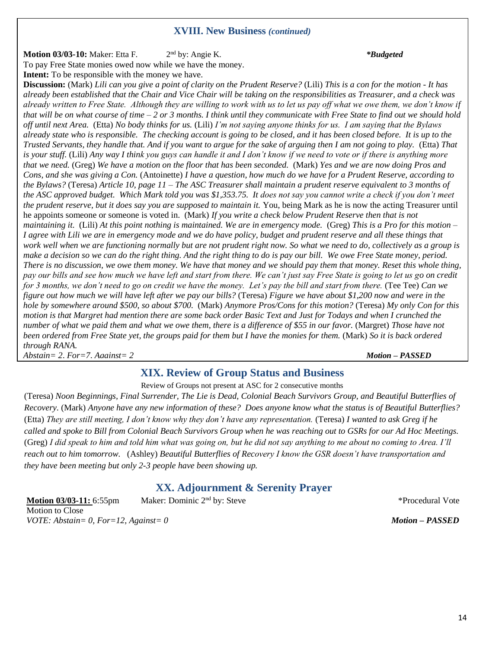### **XVIII. New Business** *(continued)*

**Motion 03/03-10:** Maker: Etta F. 2 nd by: Angie K. *\*Budgeted* To pay Free State monies owed now while we have the money. **Intent:** To be responsible with the money we have.

**Discussion:** (Mark) *Lili can you give a point of clarity on the Prudent Reserve?* (Lili) *This is a con for the motion - It has already been established that the Chair and Vice Chair will be taking on the responsibilities as Treasurer, and a check was already written to Free State. Although they are willing to work with us to let us pay off what we owe them, we don't know if that will be on what course of time – 2 or 3 months. I think until they communicate with Free State to find out we should hold off until next Area.* (Etta) *No body thinks for us.* (Lili) *I'm not saying anyone thinks for us. I am saying that the Bylaws already state who is responsible. The checking account is going to be closed, and it has been closed before. It is up to the Trusted Servants, they handle that. And if you want to argue for the sake of arguing then I am not going to play.* (Etta) *That is your stuff.* (Lili) *Any way I think you guys can handle it and I don't know if we need to vote or if there is anything more that we need.* (Greg) *We have a motion on the floor that has been seconded.* (Mark) *Yes and we are now doing Pros and Cons, and she was giving a Con.* (Antoinette) *I have a question, how much do we have for a Prudent Reserve, according to the Bylaws?* (Teresa) *Article 10, page 11 – The ASC Treasurer shall maintain a prudent reserve equivalent to 3 months of the ASC approved budget. Which Mark told you was \$1,353.75. It does not say you cannot write a check if you don't meet the prudent reserve, but it does say you are supposed to maintain it.* You, being Mark as he is now the acting Treasurer until he appoints someone or someone is voted in. (Mark) *If you write a check below Prudent Reserve then that is not maintaining it.* (Lili) *At this point nothing is maintained. We are in emergency mode.* (Greg) *This is a Pro for this motion – I agree with Lili we are in emergency mode and we do have policy, budget and prudent reserve and all these things that work well when we are functioning normally but are not prudent right now. So what we need to do, collectively as a group is make a decision so we can do the right thing. And the right thing to do is pay our bill. We owe Free State money, period. There is no discussion, we owe them money. We have that money and we should pay them that money. Reset this whole thing, pay our bills and see how much we have left and start from there. We can't just say Free State is going to let us go on credit for 3 months, we don't need to go on credit we have the money. Let's pay the bill and start from there.* (Tee Tee) *Can we figure out how much we will have left after we pay our bills?* (Teresa) *Figure we have about \$1,200 now and were in the hole by somewhere around \$500, so about \$700.* (Mark) *Anymore Pros/Cons for this motion?* (Teresa) *My only Con for this motion is that Margret had mention there are some back order Basic Text and Just for Todays and when I crunched the number of what we paid them and what we owe them, there is a difference of \$55 in our favor.* (Margret) *Those have not been ordered from Free State yet, the groups paid for them but I have the monies for them.* (Mark) *So it is back ordered through RANA.* 

*Abstain= 2, For=7, Against= 2 Motion – PASSED*

# **XIX. Review of Group Status and Business**

Review of Groups not present at ASC for 2 consecutive months

(Teresa) *Noon Beginnings, Final Surrender, The Lie is Dead, Colonial Beach Survivors Group, and Beautiful Butterflies of Recovery.* (Mark) *Anyone have any new information of these? Does anyone know what the status is of Beautiful Butterflies?*  (Etta) *They are still meeting, I don't know why they don't have any representation.* (Teresa) *I wanted to ask Greg if he called and spoke to Bill from Colonial Beach Survivors Group when he was reaching out to GSRs for our Ad Hoc Meetings.*  (Greg) *I did speak to him and told him what was going on, but he did not say anything to me about no coming to Area. I'll reach out to him tomorrow.* (Ashley) *Beautiful Butterflies of Recovery I know the GSR doesn't have transportation and they have been meeting but only 2-3 people have been showing up.* 

# **XX. Adjournment & Serenity Prayer**

**Motion 03/03-11:** 6:55pm Maker: Dominic 2<sup>nd</sup> by: Steve Motion to Close *VOTE: Abstain= 0, For=12, Against= 0 Motion – PASSED*

\*Procedural Vote